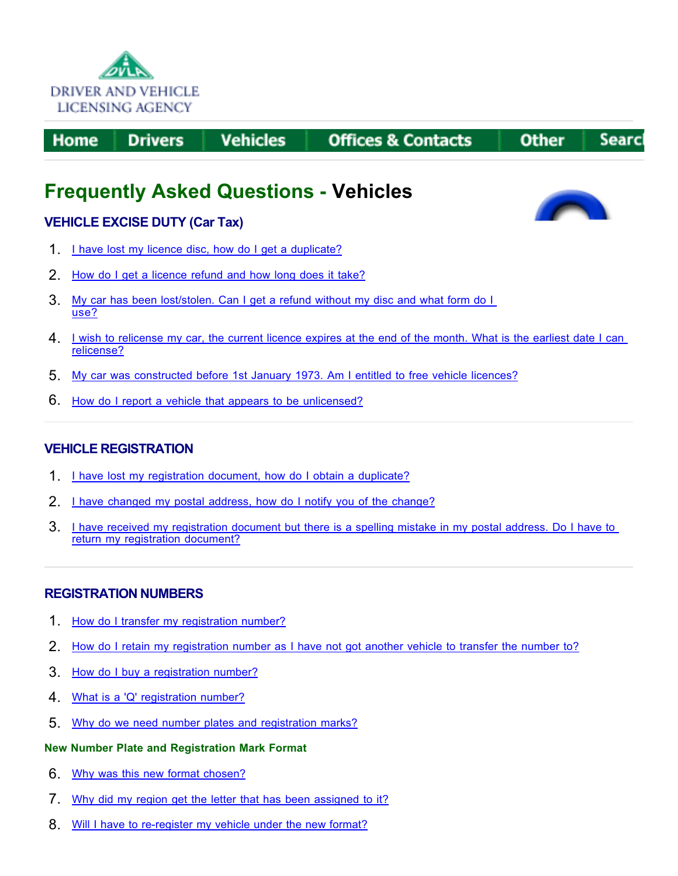

**Drivers** Home

**Vehicles** 

**Offices & Contacts** 

#### **Other** Searc

## **Frequently Asked Questions - Vehicles**

## **VEHICLE EXCISE DUTY (Car Tax)**

- 1. I have lost my licence disc, how do I get a duplicate?
- 2. How do I get a licence refund and how long does it take?
- 3. My car has been lost/stolen. Can I get a refund without my disc and what form do I use?
- 4. I wish to relicense my car, the current licence expires at the end of the month. What is the earliest date I can relicense?
- 5. My car was constructed before 1st January 1973. Am I entitled to free vehicle licences?
- 6. How do I report a vehicle that appears to be unlicensed?

## **VEHICLE REGISTRATION**

- 1. I have lost my registration document, how do I obtain a duplicate?
- 2. I have changed my postal address, how do I notify you of the change?
- 3. I have received my registration document but there is a spelling mistake in my postal address. Do I have to return my registration document?

## **REGISTRATION NUMBERS**

- 1. How do I transfer my registration number?
- 2. How do I retain my registration number as I have not got another vehicle to transfer the number to?
- 3. How do I buy a registration number?
- 4. What is a 'Q' registration number?
- 5. Why do we need number plates and registration marks?

## **New Number Plate and Registration Mark Format**

- 6. Why was this new format chosen?
- 7. Why did my region get the letter that has been assigned to it?
- 8. Will I have to re-register my vehicle under the new format?

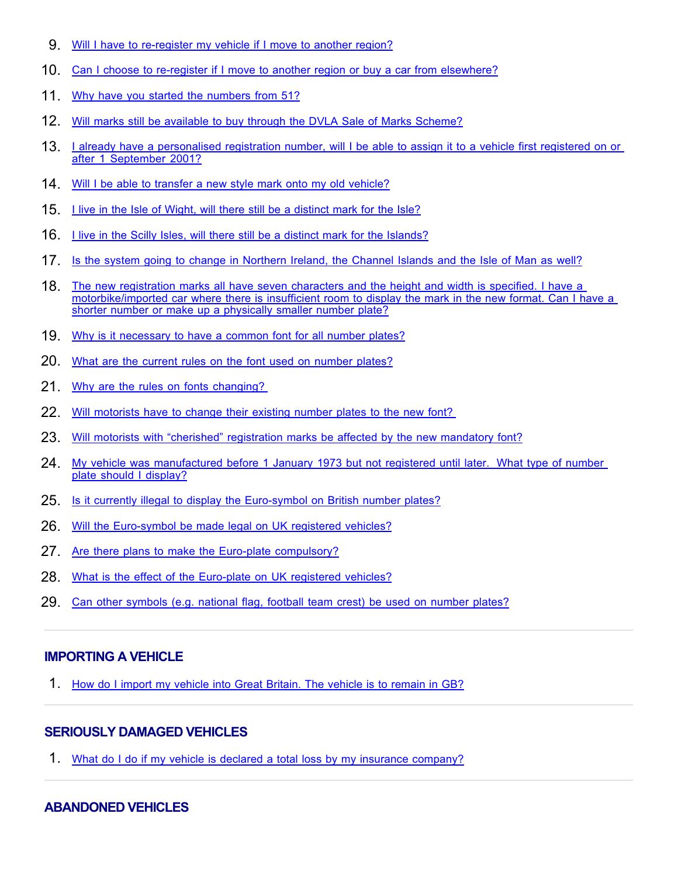- 9. Will I have to re-register my vehicle if I move to another region?
- 10. Can I choose to re-register if I move to another region or buy a car from elsewhere?
- 11. Why have you started the numbers from 51?
- 12. Will marks still be available to buy through the DVLA Sale of Marks Scheme?
- 13. I already have a personalised registration number, will I be able to assign it to a vehicle first registered on or after 1 September 2001?
- 14. Will I be able to transfer a new style mark onto my old vehicle?
- 15. I live in the Isle of Wight, will there still be a distinct mark for the Isle?
- 16. I live in the Scilly Isles, will there still be a distinct mark for the Islands?
- 17. Is the system going to change in Northern Ireland, the Channel Islands and the Isle of Man as well?
- 18. The new registration marks all have seven characters and the height and width is specified. I have a motorbike/imported car where there is insufficient room to display the mark in the new format. Can I have a shorter number or make up a physically smaller number plate?
- 19. Why is it necessary to have a common font for all number plates?
- 20. What are the current rules on the font used on number plates?
- 21. Why are the rules on fonts changing?
- 22. Will motorists have to change their existing number plates to the new font?
- 23. Will motorists with "cherished" registration marks be affected by the new mandatory font?
- 24. My vehicle was manufactured before 1 January 1973 but not registered until later. What type of number plate should I display?
- 25. Is it currently illegal to display the Euro-symbol on British number plates?
- 26. Will the Euro-symbol be made legal on UK registered vehicles?
- 27. Are there plans to make the Euro-plate compulsory?
- 28. What is the effect of the Euro-plate on UK registered vehicles?
- 29. Can other symbols (e.g. national flag, football team crest) be used on number plates?

## **IMPORTING A VEHICLE**

1. How do I import my vehicle into Great Britain. The vehicle is to remain in GB?

## **SERIOUSLY DAMAGED VEHICLES**

1. What do I do if my vehicle is declared a total loss by my insurance company?

## **ABANDONED VEHICLES**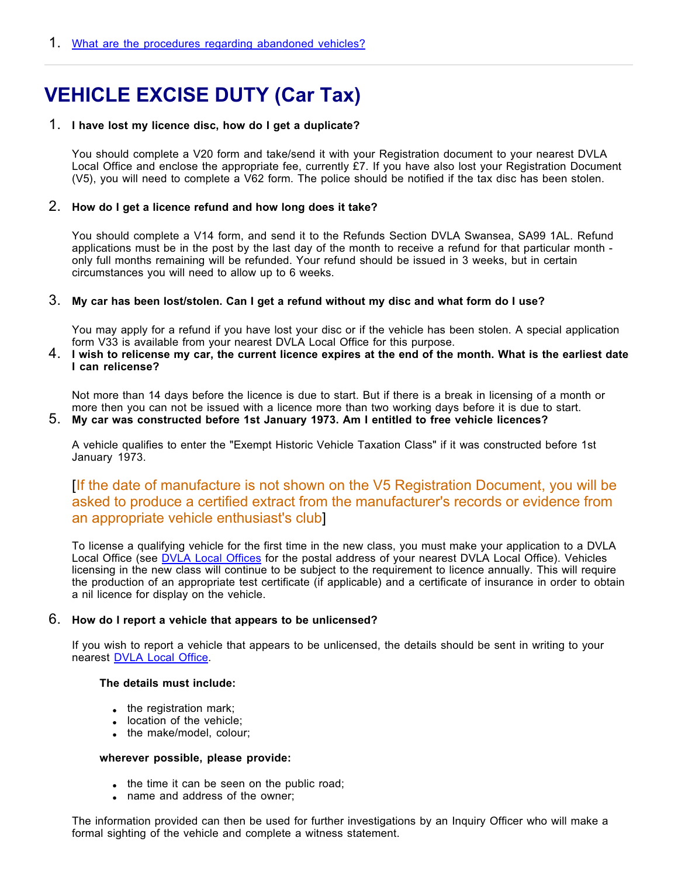# **VEHICLE EXCISE DUTY (Car Tax)**

## 1. **I have lost my licence disc, how do I get a duplicate?**

You should complete a V20 form and take/send it with your Registration document to your nearest DVLA Local Office and enclose the appropriate fee, currently £7. If you have also lost your Registration Document (V5), you will need to complete a V62 form. The police should be notified if the tax disc has been stolen.

## 2. **How do I get a licence refund and how long does it take?**

You should complete a V14 form, and send it to the Refunds Section DVLA Swansea, SA99 1AL. Refund applications must be in the post by the last day of the month to receive a refund for that particular month only full months remaining will be refunded. Your refund should be issued in 3 weeks, but in certain circumstances you will need to allow up to 6 weeks.

## 3. **My car has been lost/stolen. Can I get a refund without my disc and what form do I use?**

You may apply for a refund if you have lost your disc or if the vehicle has been stolen. A special application form V33 is available from your nearest DVLA Local Office for this purpose.

## 4. **I wish to relicense my car, the current licence expires at the end of the month. What is the earliest date I can relicense?**

Not more than 14 days before the licence is due to start. But if there is a break in licensing of a month or more then you can not be issued with a licence more than two working days before it is due to start.

## 5. **My car was constructed before 1st January 1973. Am I entitled to free vehicle licences?**

A vehicle qualifies to enter the "Exempt Historic Vehicle Taxation Class" if it was constructed before 1st January 1973.

## [ If the date of manufacture is not shown on the V5 Registration Document, you will be an appropriate vehicle enthusiast's club] asked to produce a certified extract from the manufacturer's records or evidence from

To license a qualifying vehicle for the first time in the new class, you must make your application to a DVLA Local Office (see <u>DVLA Local Offices</u> for the postal address of your nearest DVLA Local Office). Vehicles licensing in the new class will continue to be subject to the requirement to licence annually. This will require the production of an appropriate test certificate (if applicable) and a certificate of insurance in order to obtain a nil licence for display on the vehicle.

### 6. **How do I report a vehicle that appears to be unlicensed?**

If you wish to report a vehicle that appears to be unlicensed, the details should be sent in writing to your nearest DVLA Local Office.

#### **The details must include:**

- $\bullet$  the registration mark;
- location of the vehicle;
- the make/model, colour;

#### **wherever possible, please provide:**

- . the time it can be seen on the public road;
- name and address of the owner;

The information provided can then be used for further investigations by an Inquiry Officer who will make a formal sighting of the vehicle and complete a witness statement.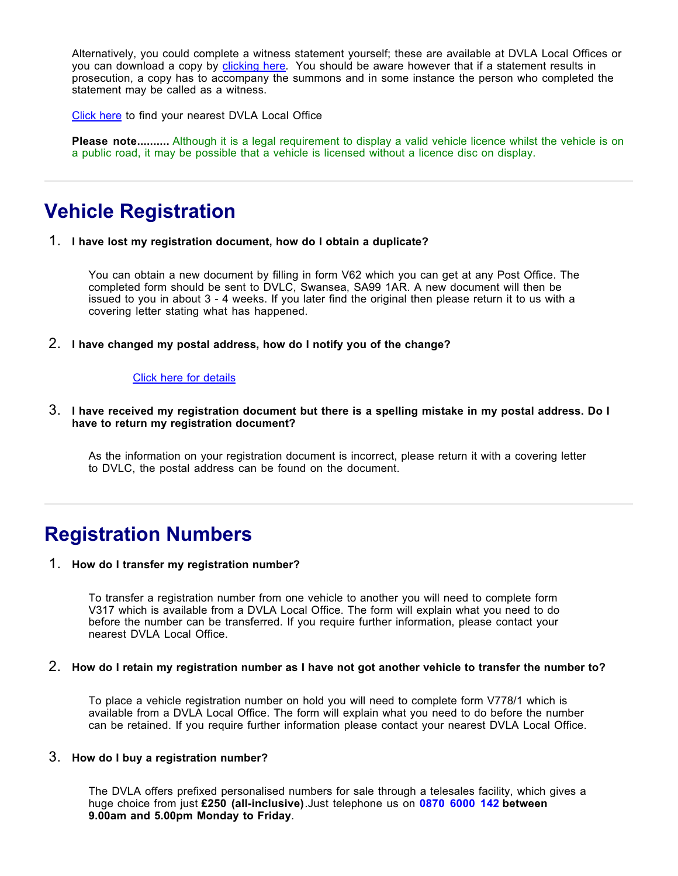Alternatively, you could complete a witness statement yourself; these are available at DVLA Local Offices or you can download a copy by <u>clicking here</u>. You should be aware however that if a statement results in l prosecution, a copy has to accompany the summons and in some instance the person who completed the statement may be called as a witness.

Click here to find your nearest DVLA Local Office

**Please note..........** Although it is a legal requirement to display a valid vehicle licence whilst the vehicle is on a public road, it may be possible that a vehicle is licensed without a licence disc on display.

## **Vehicle Registration**

1. **I have lost my registration document, how do I obtain a duplicate?**

You can obtain a new document by filling in form V62 which you can get at any Post Office. The completed form should be sent to DVLC, Swansea, SA99 1AR. A new document will then be issued to you in about 3 - 4 weeks. If you later find the original then please return it to us with a covering letter stating what has happened.

2. **I have changed my postal address, how do I notify you of the change?**

### Click here for details

3. **I have received my registration document but there is a spelling mistake in my postal address. Do I have to return my registration document?**

As the information on your registration document is incorrect, please return it with a covering letter to DVLC, the postal address can be found on the document.

## **Registration Numbers**

#### 1. **How do I transfer my registration number?**

To transfer a registration number from one vehicle to another you will need to complete form V317 which is available from a DVLA Local Office. The form will explain what you need to do before the number can be transferred. If you require further information, please contact your nearest DVLA Local Office.

#### 2. **How do I retain my registration number as I have not got another vehicle to transfer the number to?**

To place a vehicle registration number on hold you will need to complete form V778/1 which is available from a DVLA Local Office. The form will explain what you need to do before the number can be retained. If you require further information please contact your nearest DVLA Local Office.

#### 3. **How do I buy a registration number?**

The DVLA offers prefixed personalised numbers for sale through a telesales facility, which gives a huge choice from just £250 (all-inclusive).Just telephone us on 0870 6000 142 between . **9.00am and 5.00pm Monday to Friday**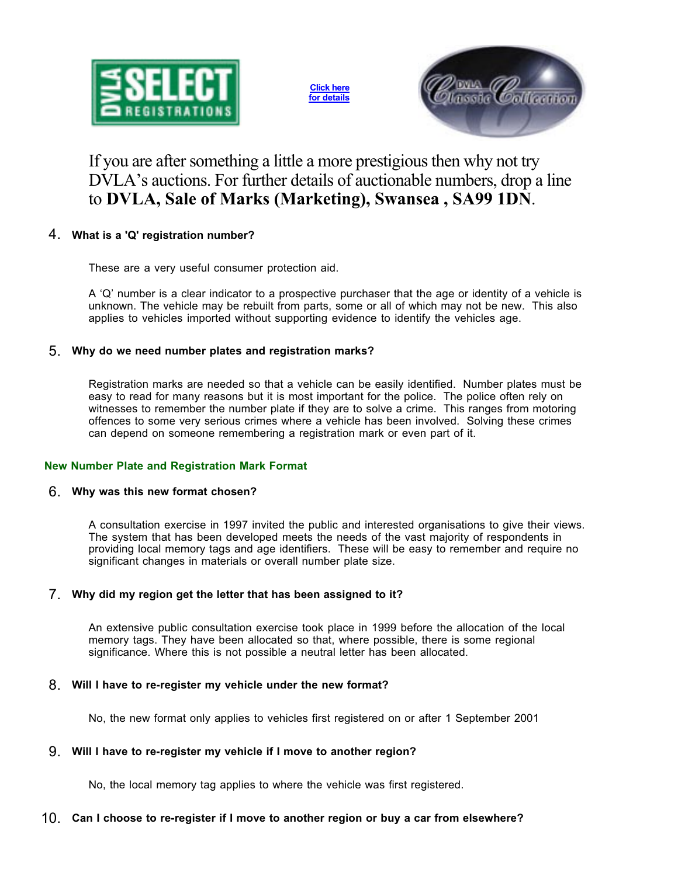

**Click here for details**



## If you are after something a little a more prestigious then why not try DVLA's auctions. For further details of auctionable numbers, drop a line to **DVLA, Sale of Marks (Marketing), Swansea , SA99 1DN**.

## 4. **What is a 'Q' registration number?**

These are a very useful consumer protection aid.

A 'Q' number is a clear indicator to a prospective purchaser that the age or identity of a vehicle is unknown. The vehicle may be rebuilt from parts, some or all of which may not be new. This also applies to vehicles imported without supporting evidence to identify the vehicles age.

## 5. **Why do we need number plates and registration marks?**

Registration marks are needed so that a vehicle can be easily identified. Number plates must be easy to read for many reasons but it is most important for the police. The police often rely on witnesses to remember the number plate if they are to solve a crime. This ranges from motoring offences to some very serious crimes where a vehicle has been involved. Solving these crimes can depend on someone remembering a registration mark or even part of it.

## **New Number Plate and Registration Mark Format**

## 6. **Why was this new format chosen?**

A consultation exercise in 1997 invited the public and interested organisations to give their views. The system that has been developed meets the needs of the vast majority of respondents in providing local memory tags and age identifiers. These will be easy to remember and require no significant changes in materials or overall number plate size.

## 7. **Why did my region get the letter that has been assigned to it?**

An extensive public consultation exercise took place in 1999 before the allocation of the local memory tags. They have been allocated so that, where possible, there is some regional significance. Where this is not possible a neutral letter has been allocated.

## 8. **Will I have to re-register my vehicle under the new format?**

No, the new format only applies to vehicles first registered on or after 1 September 2001

## 9. **Will I have to re-register my vehicle if I move to another region?**

No, the local memory tag applies to where the vehicle was first registered.

## 10. **Can I choose to re-register if I move to another region or buy a car from elsewhere?**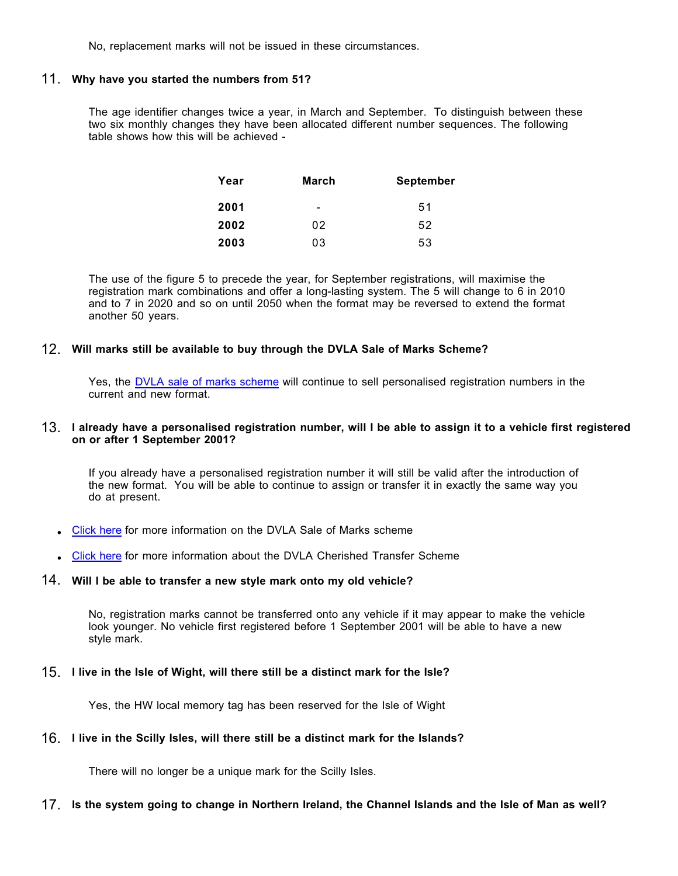No, replacement marks will not be issued in these circumstances.

#### 11. **Why have you started the numbers from 51?**

The age identifier changes twice a year, in March and September. To distinguish between these two six monthly changes they have been allocated different number sequences. The following table shows how this will be achieved -

| Year | March | <b>September</b> |
|------|-------|------------------|
| 2001 |       | 51               |
| 2002 | 02    | 52               |
| 2003 | 03    | 53               |

The use of the figure 5 to precede the year, for September registrations, will maximise the registration mark combinations and offer a long-lasting system. The 5 will change to 6 in 2010 and to 7 in 2020 and so on until 2050 when the format may be reversed to extend the format another 50 years.

### 12. **Will marks still be available to buy through the DVLA Sale of Marks Scheme?**

Yes, the <u>DVLA sale of marks scheme</u> will continue to sell personalised registration numbers in the current and new format.

#### 13. **I already have a personalised registration number, will I be able to assign it to a vehicle first registered on or after 1 September 2001?**

If you already have a personalised registration number it will still be valid after the introduction of the new format. You will be able to continue to assign or transfer it in exactly the same way you do at present.

- Click here for more information on the DVLA Sale of Marks scheme
- Click here for more information about the DVLA Cherished Transfer Scheme

### 14. **Will I be able to transfer a new style mark onto my old vehicle?**

No, registration marks cannot be transferred onto any vehicle if it may appear to make the vehicle look younger. No vehicle first registered before 1 September 2001 will be able to have a new style mark.

### 15. **I live in the Isle of Wight, will there still be a distinct mark for the Isle?**

Yes, the HW local memory tag has been reserved for the Isle of Wight

### 16. **I live in the Scilly Isles, will there still be a distinct mark for the Islands?**

There will no longer be a unique mark for the Scilly Isles.

### 17. **Is the system going to change in Northern Ireland, the Channel Islands and the Isle of Man as well?**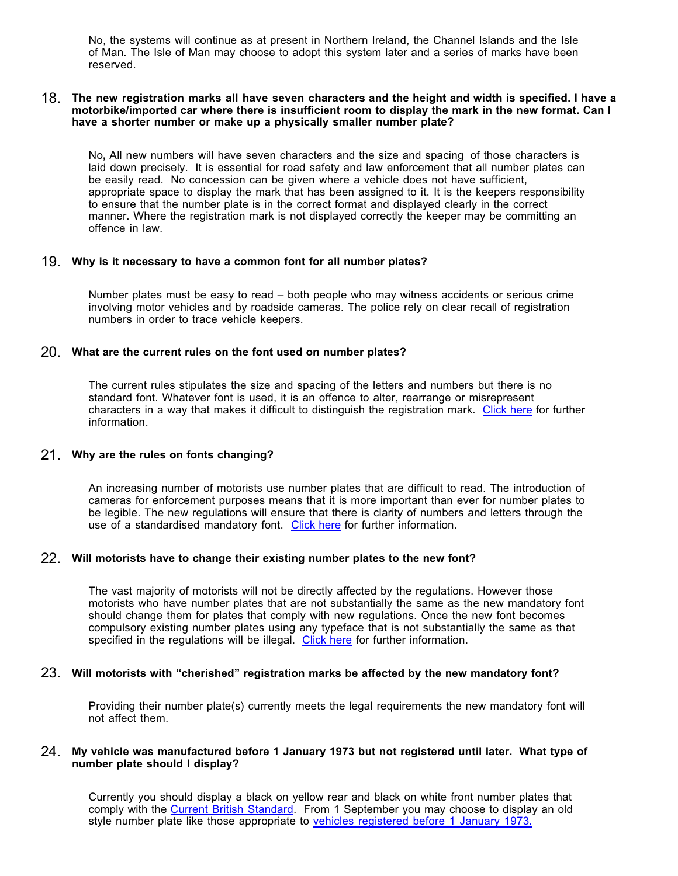No, the systems will continue as at present in Northern Ireland, the Channel Islands and the Isle of Man. The Isle of Man may choose to adopt this system later and a series of marks have been reserved.

#### 18. The new registration marks all have seven characters and the height and width is specified. I have a **motorbike/imported car where there is insufficient room to display the mark in the new format. Can I have a shorter number or make up a physically smaller number plate?**

No, All new numbers will have seven characters and the size and spacing of those characters is laid down precisely. It is essential for road safety and law enforcement that all number plates can be easily read. No concession can be given where a vehicle does not have sufficient, appropriate space to display the mark that has been assigned to it. It is the keepers responsibility to ensure that the number plate is in the correct format and displayed clearly in the correct manner. Where the registration mark is not displayed correctly the keeper may be committing an offence in law.

### 19. **Why is it necessary to have a common font for all number plates?**

Number plates must be easy to read – both people who may witness accidents or serious crime involving motor vehicles and by roadside cameras. The police rely on clear recall of registration numbers in order to trace vehicle keepers.

### 20. **What are the current rules on the font used on number plates?**

The current rules stipulates the size and spacing of the letters and numbers but there is no standard font. Whatever font is used, it is an offence to alter, rearrange or misrepresent characters in a way that makes it difficult to distinguish the registration mark. <u>Click here</u> for further information.

### 21. **Why are the rules on fonts changing?**

An increasing number of motorists use number plates that are difficult to read. The introduction of cameras for enforcement purposes means that it is more important than ever for number plates to be legible. The new regulations will ensure that there is clarity of numbers and letters through the use of a standardised mandatory font. Click here for further information.

### 22. **Will motorists have to change their existing number plates to the new font?**

The vast majority of motorists will not be directly affected by the regulations. However those motorists who have number plates that are not substantially the same as the new mandatory font should change them for plates that comply with new regulations. Once the new font becomes compulsory existing number plates using any typeface that is not substantially the same as that specified in the regulations will be illegal. Click here for further information.

### 23. **Will motorists with "cherished" registration marks be affected by the new mandatory font?**

Providing their number plate(s) currently meets the legal requirements the new mandatory font will not affect them.

#### 24. **My vehicle was manufactured before 1 January 1973 but not registered until later. What type of number plate should I display?**

Currently you should display a black on yellow rear and black on white front number plates that comply with the Current British Standard. From 1 September you may choose to display an old style number plate like those appropriate to <u>vehicles registered before 1 January 1973.</u>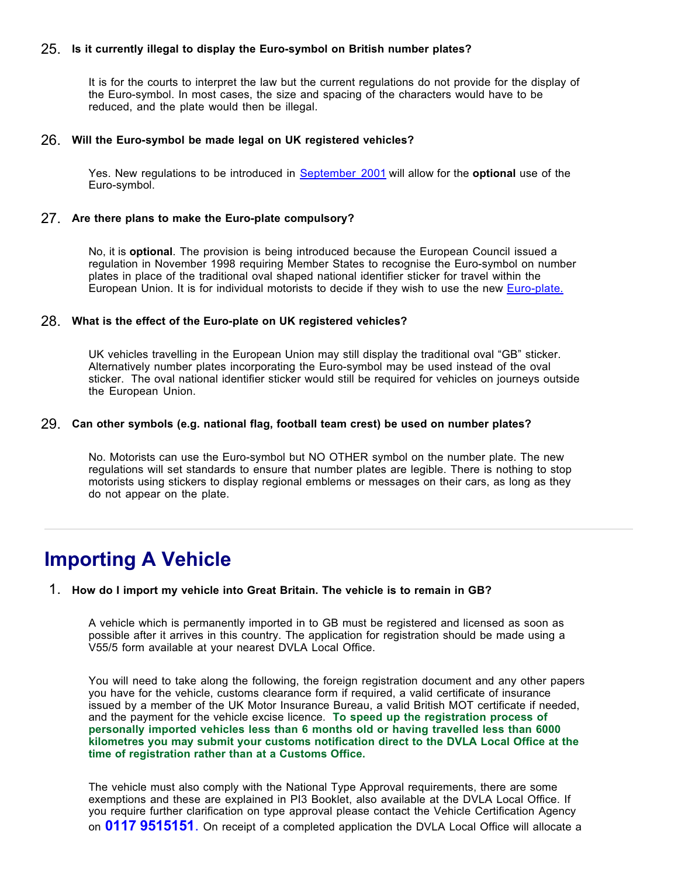## 25. **Is it currently illegal to display the Euro-symbol on British number plates?**

It is for the courts to interpret the law but the current regulations do not provide for the display of the Euro-symbol. In most cases, the size and spacing of the characters would have to be reduced, and the plate would then be illegal.

#### 26. **Will the Euro-symbol be made legal on UK registered vehicles?**

Yes. New regulations to be introduced in <u>September 2001</u> will allow for the **optional** use of the Euro-symbol.

#### 27. **Are there plans to make the Euro-plate compulsory?**

No, it is **optional**. The provision is being introduced because the European Council issued a regulation in November 1998 requiring Member States to recognise the Euro-symbol on number plates in place of the traditional oval shaped national identifier sticker for travel within the European Union. It is for individual motorists to decide if they wish to use the new <u>Euro-plate.</u>

#### 28. **What is the effect of the Euro-plate on UK registered vehicles?**

UK vehicles travelling in the European Union may still display the traditional oval "GB" sticker. Alternatively number plates incorporating the Euro-symbol may be used instead of the oval sticker. The oval national identifier sticker would still be required for vehicles on journeys outside the European Union.

#### 29. **Can other symbols (e.g. national flag, football team crest) be used on number plates?**

No. Motorists can use the Euro-symbol but NO OTHER symbol on the number plate. The new regulations will set standards to ensure that number plates are legible. There is nothing to stop motorists using stickers to display regional emblems or messages on their cars, as long as they do not appear on the plate.

## **Importing A Vehicle**

#### 1. **How do I import my vehicle into Great Britain. The vehicle is to remain in GB?**

A vehicle which is permanently imported in to GB must be registered and licensed as soon as possible after it arrives in this country. The application for registration should be made using a V55/5 form available at your nearest DVLA Local Office.

You will need to take along the following, the foreign registration document and any other papers you have for the vehicle, customs clearance form if required, a valid certificate of insurance issued by a member of the UK Motor Insurance Bureau, a valid British MOT certificate if needed, and the payment for the vehicle excise licence. **To speed up the registration process of personally imported vehicles less than 6 months old or having travelled less than 6000 kilometres you may submit your customs notification direct to the DVLA Local Office at the time of registration rather than at a Customs Office.**

The vehicle must also comply with the National Type Approval requirements, there are some exemptions and these are explained in PI3 Booklet, also available at the DVLA Local Office. If you require further clarification on type approval please contact the Vehicle Certification Agency on 0117 9515151. On receipt of a completed application the DVLA Local Office will allocate a